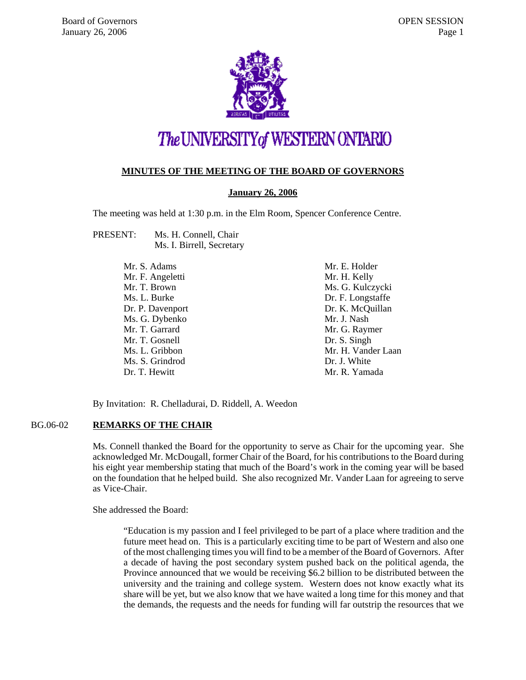

# The UNIVERSITY of WESTERN ONTARIO

# **MINUTES OF THE MEETING OF THE BOARD OF GOVERNORS**

# **January 26, 2006**

The meeting was held at 1:30 p.m. in the Elm Room, Spencer Conference Centre.

PRESENT: Ms. H. Connell, Chair Ms. I. Birrell, Secretary

| Mr. S. Adams     | Mr. E. Holder      |
|------------------|--------------------|
| Mr. F. Angeletti | Mr. H. Kelly       |
| Mr. T. Brown     | Ms. G. Kulczycki   |
| Ms. L. Burke     | Dr. F. Longstaffe  |
| Dr. P. Davenport | Dr. K. McQuillan   |
| Ms. G. Dybenko   | Mr. J. Nash        |
| Mr. T. Garrard   | Mr. G. Raymer      |
| Mr. T. Gosnell   | Dr. S. Singh       |
| Ms. L. Gribbon   | Mr. H. Vander Laan |
| Ms. S. Grindrod  | Dr. J. White       |
| Dr. T. Hewitt    | Mr. R. Yamada      |

By Invitation: R. Chelladurai, D. Riddell, A. Weedon

# BG.06-02 **REMARKS OF THE CHAIR**

Ms. Connell thanked the Board for the opportunity to serve as Chair for the upcoming year. She acknowledged Mr. McDougall, former Chair of the Board, for his contributions to the Board during his eight year membership stating that much of the Board's work in the coming year will be based on the foundation that he helped build. She also recognized Mr. Vander Laan for agreeing to serve as Vice-Chair.

She addressed the Board:

"Education is my passion and I feel privileged to be part of a place where tradition and the future meet head on. This is a particularly exciting time to be part of Western and also one of the most challenging times you will find to be a member of the Board of Governors. After a decade of having the post secondary system pushed back on the political agenda, the Province announced that we would be receiving \$6.2 billion to be distributed between the university and the training and college system. Western does not know exactly what its share will be yet, but we also know that we have waited a long time for this money and that the demands, the requests and the needs for funding will far outstrip the resources that we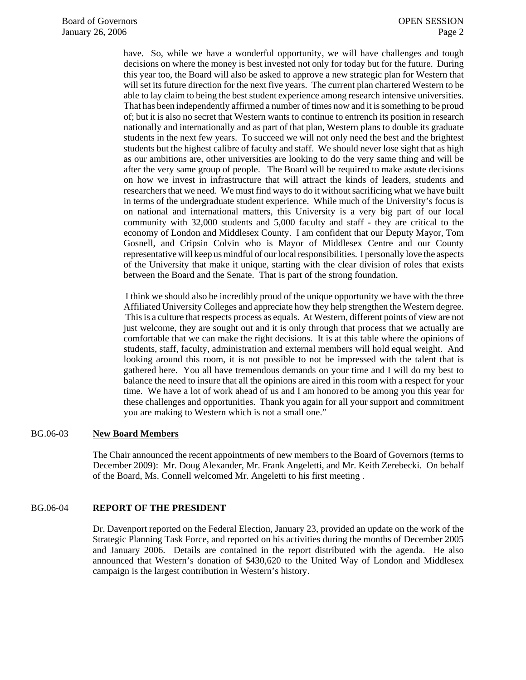have. So, while we have a wonderful opportunity, we will have challenges and tough decisions on where the money is best invested not only for today but for the future. During this year too, the Board will also be asked to approve a new strategic plan for Western that will set its future direction for the next five years. The current plan chartered Western to be able to lay claim to being the best student experience among research intensive universities. That has been independently affirmed a number of times now and it is something to be proud of; but it is also no secret that Western wants to continue to entrench its position in research nationally and internationally and as part of that plan, Western plans to double its graduate students in the next few years. To succeed we will not only need the best and the brightest students but the highest calibre of faculty and staff. We should never lose sight that as high as our ambitions are, other universities are looking to do the very same thing and will be after the very same group of people. The Board will be required to make astute decisions on how we invest in infrastructure that will attract the kinds of leaders, students and researchers that we need. We must find ways to do it without sacrificing what we have built in terms of the undergraduate student experience. While much of the University's focus is on national and international matters, this University is a very big part of our local community with 32,000 students and 5,000 faculty and staff - they are critical to the economy of London and Middlesex County. I am confident that our Deputy Mayor, Tom Gosnell, and Cripsin Colvin who is Mayor of Middlesex Centre and our County representative will keep us mindful of our local responsibilities. I personally love the aspects of the University that make it unique, starting with the clear division of roles that exists between the Board and the Senate. That is part of the strong foundation.

 I think we should also be incredibly proud of the unique opportunity we have with the three Affiliated University Colleges and appreciate how they help strengthen the Western degree. This is a culture that respects process as equals. At Western, different points of view are not just welcome, they are sought out and it is only through that process that we actually are comfortable that we can make the right decisions. It is at this table where the opinions of students, staff, faculty, administration and external members will hold equal weight. And looking around this room, it is not possible to not be impressed with the talent that is gathered here. You all have tremendous demands on your time and I will do my best to balance the need to insure that all the opinions are aired in this room with a respect for your time. We have a lot of work ahead of us and I am honored to be among you this year for these challenges and opportunities. Thank you again for all your support and commitment you are making to Western which is not a small one."

#### BG.06-03 **New Board Members**

The Chair announced the recent appointments of new members to the Board of Governors (terms to December 2009): Mr. Doug Alexander, Mr. Frank Angeletti, and Mr. Keith Zerebecki. On behalf of the Board, Ms. Connell welcomed Mr. Angeletti to his first meeting .

# BG.06-04 **REPORT OF THE PRESIDENT**

Dr. Davenport reported on the Federal Election, January 23, provided an update on the work of the Strategic Planning Task Force, and reported on his activities during the months of December 2005 and January 2006. Details are contained in the report distributed with the agenda. He also announced that Western's donation of \$430,620 to the United Way of London and Middlesex campaign is the largest contribution in Western's history.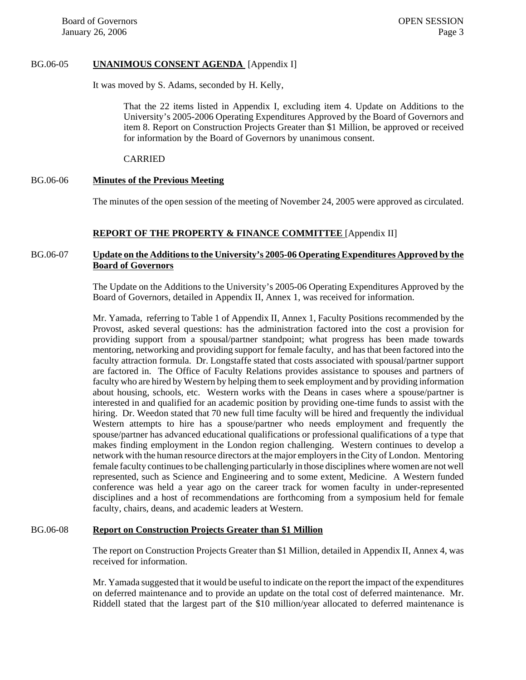# BG.06-05 **UNANIMOUS CONSENT AGENDA** [Appendix I]

It was moved by S. Adams, seconded by H. Kelly,

That the 22 items listed in Appendix I, excluding item 4. Update on Additions to the University's 2005-2006 Operating Expenditures Approved by the Board of Governors and item 8. Report on Construction Projects Greater than \$1 Million, be approved or received for information by the Board of Governors by unanimous consent.

#### CARRIED

## BG.06-06 **Minutes of the Previous Meeting**

The minutes of the open session of the meeting of November 24, 2005 were approved as circulated.

# **REPORT OF THE PROPERTY & FINANCE COMMITTEE** [Appendix II]

# BG.06-07 **Update on the Additions to the University's 2005-06 Operating Expenditures Approved by the Board of Governors**

The Update on the Additions to the University's 2005-06 Operating Expenditures Approved by the Board of Governors, detailed in Appendix II, Annex 1, was received for information.

Mr. Yamada, referring to Table 1 of Appendix II, Annex 1, Faculty Positions recommended by the Provost, asked several questions: has the administration factored into the cost a provision for providing support from a spousal/partner standpoint; what progress has been made towards mentoring, networking and providing support for female faculty, and has that been factored into the faculty attraction formula. Dr. Longstaffe stated that costs associated with spousal/partner support are factored in. The Office of Faculty Relations provides assistance to spouses and partners of faculty who are hired by Western by helping them to seek employment and by providing information about housing, schools, etc. Western works with the Deans in cases where a spouse/partner is interested in and qualified for an academic position by providing one-time funds to assist with the hiring. Dr. Weedon stated that 70 new full time faculty will be hired and frequently the individual Western attempts to hire has a spouse/partner who needs employment and frequently the spouse/partner has advanced educational qualifications or professional qualifications of a type that makes finding employment in the London region challenging. Western continues to develop a network with the human resource directors at the major employers in the City of London. Mentoring female faculty continues to be challenging particularly in those disciplines where women are not well represented, such as Science and Engineering and to some extent, Medicine. A Western funded conference was held a year ago on the career track for women faculty in under-represented disciplines and a host of recommendations are forthcoming from a symposium held for female faculty, chairs, deans, and academic leaders at Western.

# BG.06-08 **Report on Construction Projects Greater than \$1 Million**

The report on Construction Projects Greater than \$1 Million, detailed in Appendix II, Annex 4, was received for information.

Mr. Yamada suggested that it would be useful to indicate on the report the impact of the expenditures on deferred maintenance and to provide an update on the total cost of deferred maintenance. Mr. Riddell stated that the largest part of the \$10 million/year allocated to deferred maintenance is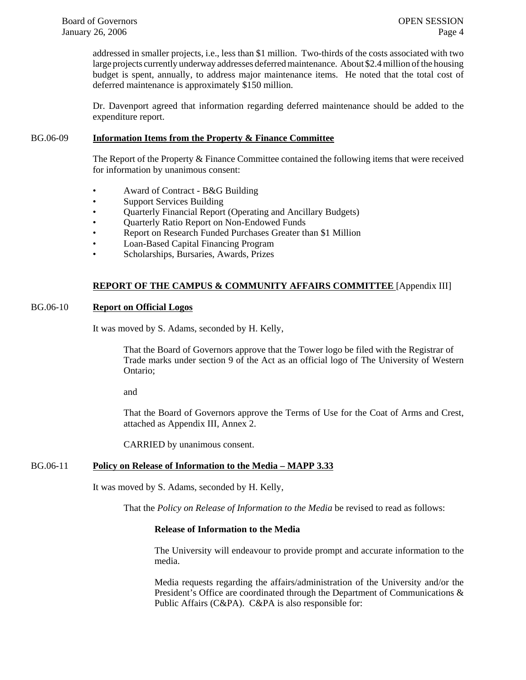addressed in smaller projects, i.e., less than \$1 million. Two-thirds of the costs associated with two large projects currently underway addresses deferred maintenance. About \$2.4 million of the housing budget is spent, annually, to address major maintenance items. He noted that the total cost of deferred maintenance is approximately \$150 million.

Dr. Davenport agreed that information regarding deferred maintenance should be added to the expenditure report.

## BG.06-09 **Information Items from the Property & Finance Committee**

The Report of the Property & Finance Committee contained the following items that were received for information by unanimous consent:

- Award of Contract B&G Building
- Support Services Building
- Quarterly Financial Report (Operating and Ancillary Budgets)
- Quarterly Ratio Report on Non-Endowed Funds
- Report on Research Funded Purchases Greater than \$1 Million
- Loan-Based Capital Financing Program
- Scholarships, Bursaries, Awards, Prizes

## **REPORT OF THE CAMPUS & COMMUNITY AFFAIRS COMMITTEE** [Appendix III]

# BG.06-10 **Report on Official Logos**

It was moved by S. Adams, seconded by H. Kelly,

That the Board of Governors approve that the Tower logo be filed with the Registrar of Trade marks under section 9 of the Act as an official logo of The University of Western Ontario;

and

That the Board of Governors approve the Terms of Use for the Coat of Arms and Crest, attached as Appendix III, Annex 2.

CARRIED by unanimous consent.

#### BG.06-11 **Policy on Release of Information to the Media – MAPP 3.33**

It was moved by S. Adams, seconded by H. Kelly,

That the *Policy on Release of Information to the Media* be revised to read as follows:

# **Release of Information to the Media**

The University will endeavour to provide prompt and accurate information to the media.

Media requests regarding the affairs/administration of the University and/or the President's Office are coordinated through the Department of Communications & Public Affairs (C&PA). C&PA is also responsible for: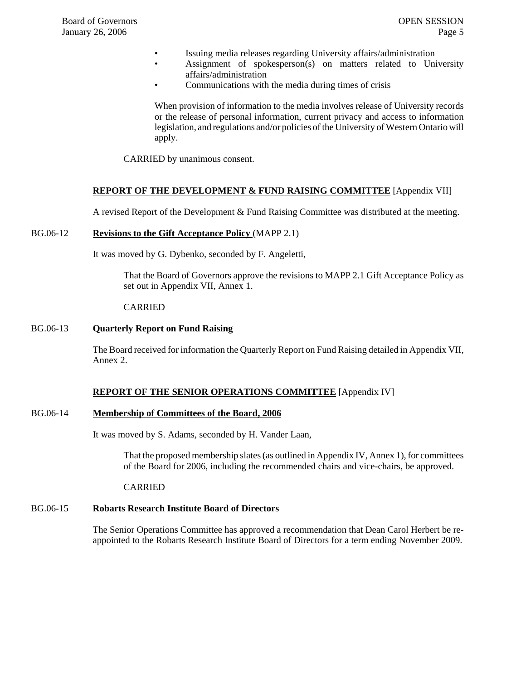- Issuing media releases regarding University affairs/administration
	- Assignment of spokesperson(s) on matters related to University affairs/administration
- Communications with the media during times of crisis

When provision of information to the media involves release of University records or the release of personal information, current privacy and access to information legislation, and regulations and/or policies of the University of Western Ontario will apply.

CARRIED by unanimous consent.

## **REPORT OF THE DEVELOPMENT & FUND RAISING COMMITTEE** [Appendix VII]

A revised Report of the Development & Fund Raising Committee was distributed at the meeting.

## BG.06-12 **Revisions to the Gift Acceptance Policy** (MAPP 2.1)

It was moved by G. Dybenko, seconded by F. Angeletti,

That the Board of Governors approve the revisions to MAPP 2.1 Gift Acceptance Policy as set out in Appendix VII, Annex 1.

#### CARRIED

## BG.06-13 **Quarterly Report on Fund Raising**

The Board received for information the Quarterly Report on Fund Raising detailed in Appendix VII, Annex 2.

# **REPORT OF THE SENIOR OPERATIONS COMMITTEE** [Appendix IV]

#### BG.06-14 **Membership of Committees of the Board, 2006**

It was moved by S. Adams, seconded by H. Vander Laan,

That the proposed membership slates (as outlined in Appendix IV, Annex 1), for committees of the Board for 2006, including the recommended chairs and vice-chairs, be approved.

CARRIED

# BG.06-15 **Robarts Research Institute Board of Directors**

The Senior Operations Committee has approved a recommendation that Dean Carol Herbert be reappointed to the Robarts Research Institute Board of Directors for a term ending November 2009.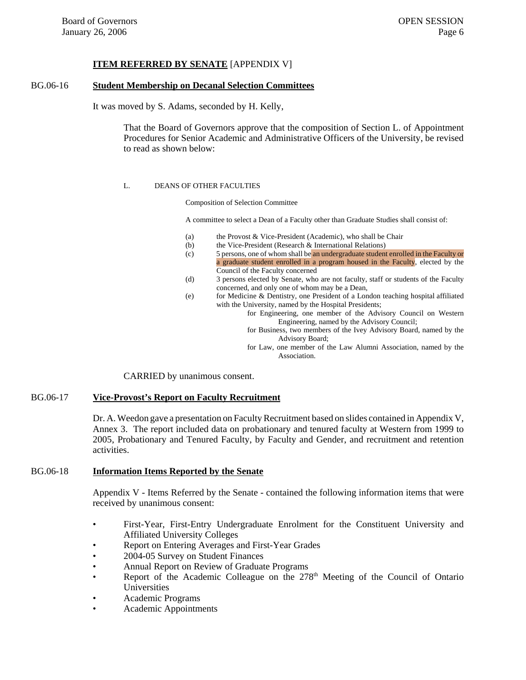# **ITEM REFERRED BY SENATE** [APPENDIX V]

# BG.06-16 **Student Membership on Decanal Selection Committees**

It was moved by S. Adams, seconded by H. Kelly,

That the Board of Governors approve that the composition of Section L. of Appointment Procedures for Senior Academic and Administrative Officers of the University, be revised to read as shown below:

#### L. DEANS OF OTHER FACULTIES

Composition of Selection Committee

A committee to select a Dean of a Faculty other than Graduate Studies shall consist of:

- (a) the Provost & Vice-President (Academic), who shall be Chair
- (b) the Vice-President (Research & International Relations)
- (c) 5 persons, one of whom shall be an undergraduate student enrolled in the Faculty or a graduate student enrolled in a program housed in the Faculty, elected by the Council of the Faculty concerned
- (d) 3 persons elected by Senate, who are not faculty, staff or students of the Faculty concerned, and only one of whom may be a Dean,
- (e) for Medicine & Dentistry, one President of a London teaching hospital affiliated with the University, named by the Hospital Presidents;

for Engineering, one member of the Advisory Council on Western Engineering, named by the Advisory Council;

- for Business, two members of the Ivey Advisory Board, named by the Advisory Board;
- for Law, one member of the Law Alumni Association, named by the Association.

CARRIED by unanimous consent.

## BG.06-17 **Vice-Provost's Report on Faculty Recruitment**

Dr. A. Weedon gave a presentation on Faculty Recruitment based on slides contained in Appendix V, Annex 3. The report included data on probationary and tenured faculty at Western from 1999 to 2005, Probationary and Tenured Faculty, by Faculty and Gender, and recruitment and retention activities.

#### BG.06-18 **Information Items Reported by the Senate**

Appendix V - Items Referred by the Senate - contained the following information items that were received by unanimous consent:

- First-Year, First-Entry Undergraduate Enrolment for the Constituent University and Affiliated University Colleges
- Report on Entering Averages and First-Year Grades
- 2004-05 Survey on Student Finances
- Annual Report on Review of Graduate Programs
- Report of the Academic Colleague on the  $278<sup>th</sup>$  Meeting of the Council of Ontario Universities
- Academic Programs
- Academic Appointments